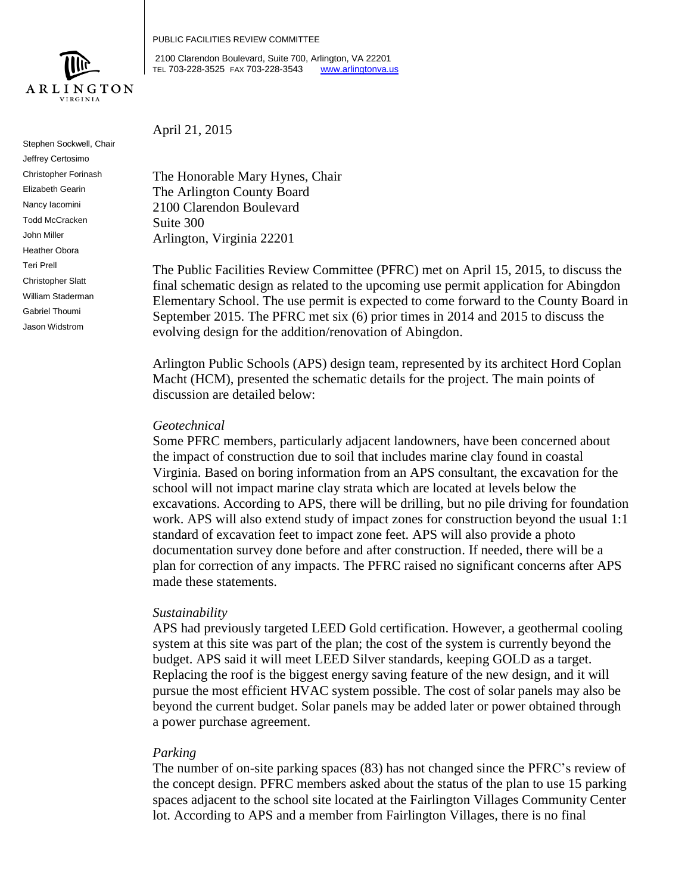

Stephen Sockwell, Chair Jeffrey Certosimo Christopher Forinash Elizabeth Gearin Nancy Iacomini Todd McCracken John Miller Heather Obora Teri Prell Christopher Slatt William Staderman Gabriel Thoumi Jason Widstrom

PUBLIC FACILITIES REVIEW COMMITTEE

2100 Clarendon Boulevard, Suite 700, Arlington, VA 22201 TEL 703-228-3525 FAX 703-228-3543 [www.arlingtonva.us](http://www.arlingtonva.us/)

April 21, 2015

The Honorable Mary Hynes, Chair The Arlington County Board 2100 Clarendon Boulevard Suite 300 Arlington, Virginia 22201

The Public Facilities Review Committee (PFRC) met on April 15, 2015, to discuss the final schematic design as related to the upcoming use permit application for Abingdon Elementary School. The use permit is expected to come forward to the County Board in September 2015. The PFRC met six (6) prior times in 2014 and 2015 to discuss the evolving design for the addition/renovation of Abingdon.

Arlington Public Schools (APS) design team, represented by its architect Hord Coplan Macht (HCM), presented the schematic details for the project. The main points of discussion are detailed below:

## *Geotechnical*

Some PFRC members, particularly adjacent landowners, have been concerned about the impact of construction due to soil that includes marine clay found in coastal Virginia. Based on boring information from an APS consultant, the excavation for the school will not impact marine clay strata which are located at levels below the excavations. According to APS, there will be drilling, but no pile driving for foundation work. APS will also extend study of impact zones for construction beyond the usual 1:1 standard of excavation feet to impact zone feet. APS will also provide a photo documentation survey done before and after construction. If needed, there will be a plan for correction of any impacts. The PFRC raised no significant concerns after APS made these statements.

# *Sustainability*

APS had previously targeted LEED Gold certification. However, a geothermal cooling system at this site was part of the plan; the cost of the system is currently beyond the budget. APS said it will meet LEED Silver standards, keeping GOLD as a target. Replacing the roof is the biggest energy saving feature of the new design, and it will pursue the most efficient HVAC system possible. The cost of solar panels may also be beyond the current budget. Solar panels may be added later or power obtained through a power purchase agreement.

# *Parking*

The number of on-site parking spaces (83) has not changed since the PFRC's review of the concept design. PFRC members asked about the status of the plan to use 15 parking spaces adjacent to the school site located at the Fairlington Villages Community Center lot. According to APS and a member from Fairlington Villages, there is no final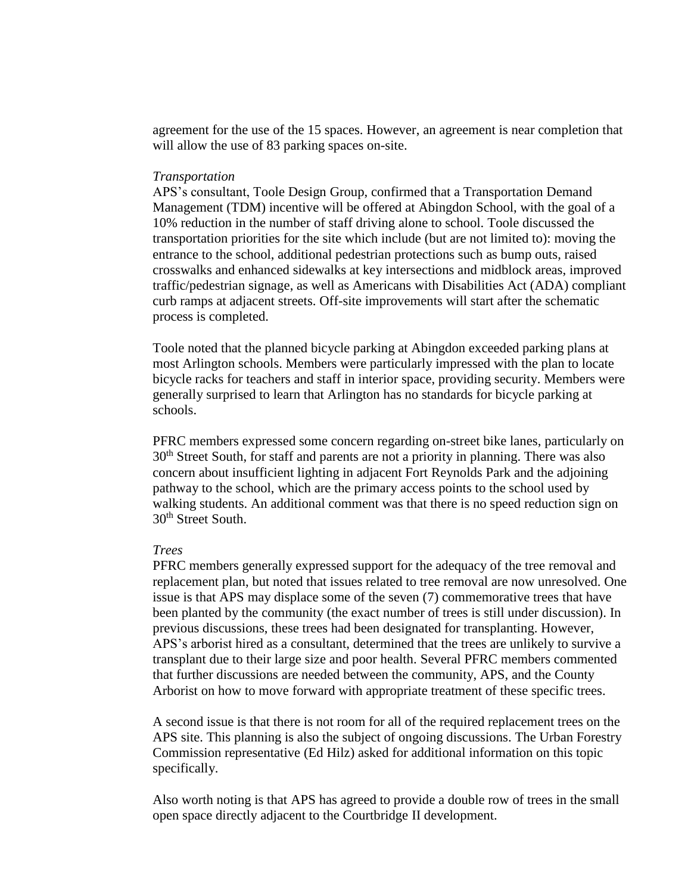agreement for the use of the 15 spaces. However, an agreement is near completion that will allow the use of 83 parking spaces on-site.

#### *Transportation*

APS's consultant, Toole Design Group, confirmed that a Transportation Demand Management (TDM) incentive will be offered at Abingdon School, with the goal of a 10% reduction in the number of staff driving alone to school. Toole discussed the transportation priorities for the site which include (but are not limited to): moving the entrance to the school, additional pedestrian protections such as bump outs, raised crosswalks and enhanced sidewalks at key intersections and midblock areas, improved traffic/pedestrian signage, as well as Americans with Disabilities Act (ADA) compliant curb ramps at adjacent streets. Off-site improvements will start after the schematic process is completed.

Toole noted that the planned bicycle parking at Abingdon exceeded parking plans at most Arlington schools. Members were particularly impressed with the plan to locate bicycle racks for teachers and staff in interior space, providing security. Members were generally surprised to learn that Arlington has no standards for bicycle parking at schools.

PFRC members expressed some concern regarding on-street bike lanes, particularly on 30<sup>th</sup> Street South, for staff and parents are not a priority in planning. There was also concern about insufficient lighting in adjacent Fort Reynolds Park and the adjoining pathway to the school, which are the primary access points to the school used by walking students. An additional comment was that there is no speed reduction sign on 30th Street South.

#### *Trees*

PFRC members generally expressed support for the adequacy of the tree removal and replacement plan, but noted that issues related to tree removal are now unresolved. One issue is that APS may displace some of the seven (7) commemorative trees that have been planted by the community (the exact number of trees is still under discussion). In previous discussions, these trees had been designated for transplanting. However, APS's arborist hired as a consultant, determined that the trees are unlikely to survive a transplant due to their large size and poor health. Several PFRC members commented that further discussions are needed between the community, APS, and the County Arborist on how to move forward with appropriate treatment of these specific trees.

A second issue is that there is not room for all of the required replacement trees on the APS site. This planning is also the subject of ongoing discussions. The Urban Forestry Commission representative (Ed Hilz) asked for additional information on this topic specifically.

Also worth noting is that APS has agreed to provide a double row of trees in the small open space directly adjacent to the Courtbridge II development.